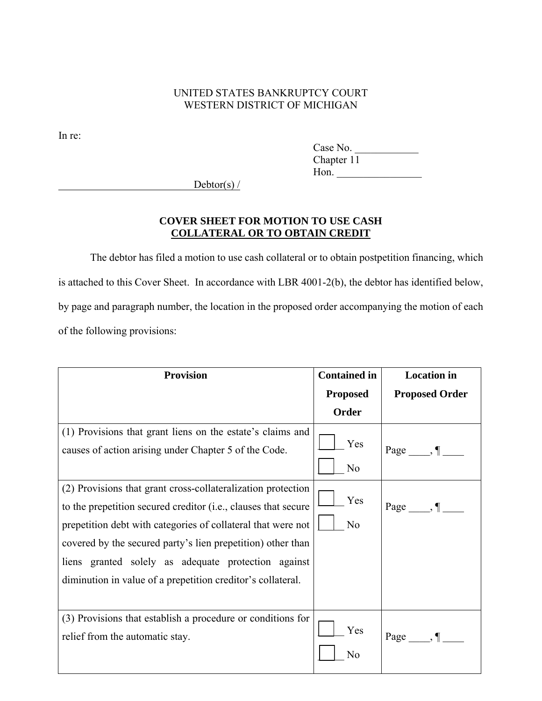## UNITED STATES BANKRUPTCY COURT WESTERN DISTRICT OF MICHIGAN

In re:

Case No. Chapter 11 Hon. \_\_\_\_\_\_\_\_\_\_\_\_\_\_\_\_

 $Debtor(s)$  /

## **COVER SHEET FOR MOTION TO USE CASH COLLATERAL OR TO OBTAIN CREDIT**

The debtor has filed a motion to use cash collateral or to obtain postpetition financing, which is attached to this Cover Sheet. In accordance with LBR 4001-2(b), the debtor has identified below, by page and paragraph number, the location in the proposed order accompanying the motion of each of the following provisions:

| <b>Provision</b>                                                                                                                                                                                                                                                                                                                                                                             | <b>Contained in</b>   | <b>Location</b> in      |
|----------------------------------------------------------------------------------------------------------------------------------------------------------------------------------------------------------------------------------------------------------------------------------------------------------------------------------------------------------------------------------------------|-----------------------|-------------------------|
|                                                                                                                                                                                                                                                                                                                                                                                              | <b>Proposed</b>       | <b>Proposed Order</b>   |
|                                                                                                                                                                                                                                                                                                                                                                                              | Order                 |                         |
| (1) Provisions that grant liens on the estate's claims and<br>causes of action arising under Chapter 5 of the Code.                                                                                                                                                                                                                                                                          | Yes<br>N <sub>o</sub> | $Page \_\_, \P \_\_$    |
| (2) Provisions that grant cross-collateralization protection<br>to the prepetition secured creditor ( <i>i.e.</i> , clauses that secure<br>prepetition debt with categories of collateral that were not<br>covered by the secured party's lien prepetition) other than<br>liens granted solely as adequate protection against<br>diminution in value of a prepetition creditor's collateral. | Yes<br>N <sub>o</sub> | Page $\_\_\$            |
| (3) Provisions that establish a procedure or conditions for<br>relief from the automatic stay.                                                                                                                                                                                                                                                                                               | Yes<br>N <sub>0</sub> | $Page \_\_\$ , \P \_\_\ |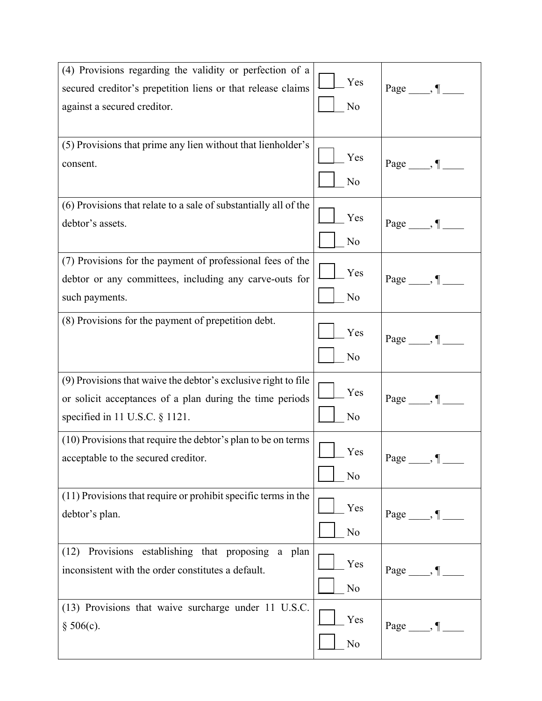| (4) Provisions regarding the validity or perfection of a<br>secured creditor's prepetition liens or that release claims<br>against a secured creditor.          | Yes<br>N <sub>o</sub> | Page $\_\_\$ , $\P$       |
|-----------------------------------------------------------------------------------------------------------------------------------------------------------------|-----------------------|---------------------------|
| (5) Provisions that prime any lien without that lienholder's<br>consent.                                                                                        | Yes<br>N <sub>o</sub> | Page, $\P$                |
| (6) Provisions that relate to a sale of substantially all of the<br>debtor's assets.                                                                            | Yes<br>N <sub>o</sub> | Page $\_\_\$              |
| (7) Provisions for the payment of professional fees of the<br>debtor or any committees, including any carve-outs for<br>such payments.                          | Yes<br>N <sub>o</sub> | Page, $\P$                |
| (8) Provisions for the payment of prepetition debt.                                                                                                             | Yes<br>N <sub>o</sub> | Page $\_\_\$              |
| (9) Provisions that waive the debtor's exclusive right to file<br>or solicit acceptances of a plan during the time periods<br>specified in 11 U.S.C. $\S$ 1121. | Yes<br>N <sub>0</sub> | Page, $\P$                |
| (10) Provisions that require the debtor's plan to be on terms<br>acceptable to the secured creditor.                                                            | Yes<br>N <sub>o</sub> | $Page \_\_\_ \P \_\_\_$   |
| (11) Provisions that require or prohibit specific terms in the<br>debtor's plan.                                                                                | Yes<br>N <sub>0</sub> | $Page \_\_\$              |
| Provisions establishing that proposing a plan<br>(12)<br>inconsistent with the order constitutes a default.                                                     | Yes<br>N <sub>o</sub> | Page $\_\_\$ , $\P_\_\_\$ |
| (13) Provisions that waive surcharge under 11 U.S.C.<br>§ 506(c).                                                                                               | Yes<br>N <sub>0</sub> | $Page \_\_\$ , \P \_\_\   |